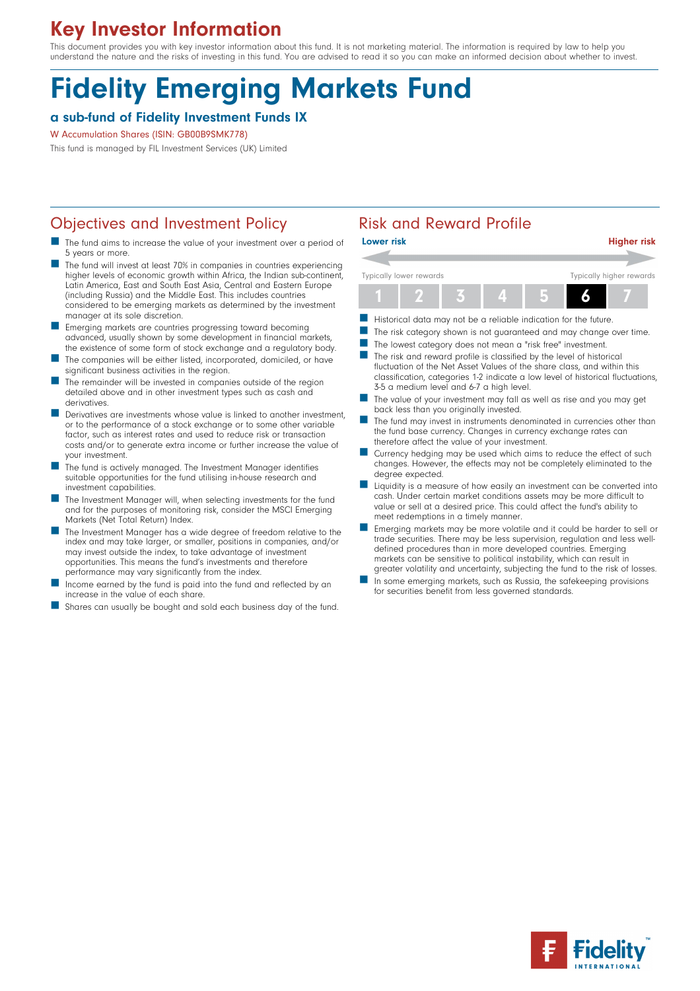## Key Investor Information

This document provides you with key investor information about this fund. It is not marketing material. The information is required by law to help you understand the nature and the risks of investing in this fund. You are advised to read it so you can make an informed decision about whether to invest.

# Fidelity Emerging Markets Fund

### a sub-fund of Fidelity Investment Funds IX

#### W Accumulation Shares (ISIN: GB00B9SMK778)

This fund is managed by FIL Investment Services (UK) Limited

## Objectives and Investment Policy **Risk and Reward Profile**

- The fund aims to increase the value of your investment over a period of 5 years or more.
- The fund will invest at least 70% in companies in countries experiencing higher levels of economic growth within Africa, the Indian sub-continent, Latin America, East and South East Asia, Central and Eastern Europe (including Russia) and the Middle East. This includes countries considered to be emerging markets as determined by the investment manager at its sole discretion.
- n Emerging markets are countries progressing toward becoming advanced, usually shown by some development in financial markets, the existence of some form of stock exchange and a regulatory body.
- The companies will be either listed, incorporated, domiciled, or have significant business activities in the region.
- The remainder will be invested in companies outside of the region detailed above and in other investment types such as cash and derivatives.
- Derivatives are investments whose value is linked to another investment, or to the performance of a stock exchange or to some other variable factor, such as interest rates and used to reduce risk or transaction costs and/or to generate extra income or further increase the value of your investment.
- The fund is actively managed. The Investment Manager identifies suitable opportunities for the fund utilising in-house research and investment capabilities.
- The Investment Manager will, when selecting investments for the fund and for the purposes of monitoring risk, consider the MSCI Emerging Markets (Net Total Return) Index.
- The Investment Manager has a wide degree of freedom relative to the index and may take larger, or smaller, positions in companies, and/or may invest outside the index, to take advantage of investment opportunities. This means the fund's investments and therefore performance may vary significantly from the index.
- Income earned by the fund is paid into the fund and reflected by an increase in the value of each share.
- Shares can usually be bought and sold each business day of the fund.



- Historical data may not be a reliable indication for the future.
- The risk category shown is not guaranteed and may change over time.
- The lowest category does not mean a "risk free" investment.
- The risk and reward profile is classified by the level of historical fluctuation of the Net Asset Values of the share class, and within this classification, categories 1-2 indicate a low level of historical fluctuations, 3-5 a medium level and 6-7 a high level.
- The value of your investment may fall as well as rise and you may get back less than you originally invested.
- The fund may invest in instruments denominated in currencies other than the fund base currency. Changes in currency exchange rates can therefore affect the value of your investment.
- Currency hedging may be used which aims to reduce the effect of such changes. However, the effects may not be completely eliminated to the degree expected.
- n Liquidity is a measure of how easily an investment can be converted into cash. Under certain market conditions assets may be more difficult to value or sell at a desired price. This could affect the fund's ability to meet redemptions in a timely manner.
- n Emerging markets may be more volatile and it could be harder to sell or trade securities. There may be less supervision, regulation and less welldefined procedures than in more developed countries. Emerging markets can be sensitive to political instability, which can result in
- greater volatility and uncertainty, subjecting the fund to the risk of losses. In some emerging markets, such as Russia, the safekeeping provisions for securities benefit from less governed standards.